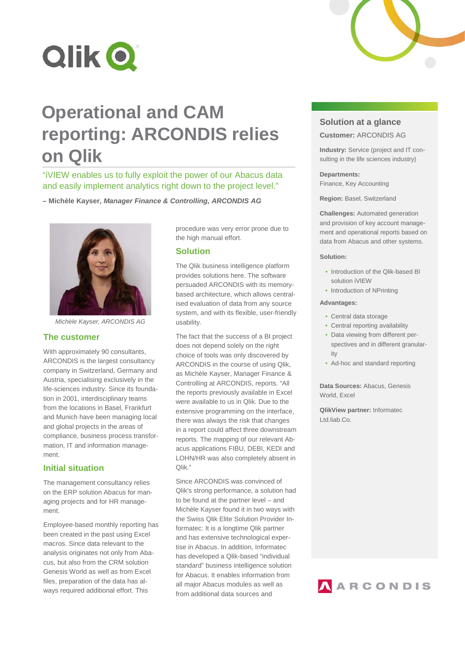

# **Operational and CAM reporting: ARCONDIS relies on Qlik**

"iVIEW enables us to fully exploit the power of our Abacus data and easily implement analytics right down to the project level."

**– Michèle Kayser,** *Manager Finance & Controlling, ARCONDIS AG*



*Michèle Kayser, ARCONDIS AG*

#### **The customer**

With approximately 90 consultants, ARCONDIS is the largest consultancy company in Switzerland, Germany and Austria, specialising exclusively in the life-sciences industry. Since its foundation in 2001, interdisciplinary teams from the locations in Basel, Frankfurt and Munich have been managing local and global projects in the areas of compliance, business process transformation, IT and information management.

## **Initial situation**

The management consultancy relies on the ERP solution Abacus for managing projects and for HR management.

Employee-based monthly reporting has been created in the past using Excel macros. Since data relevant to the analysis originates not only from Abacus, but also from the CRM solution Genesis World as well as from Excel files, preparation of the data has always required additional effort. This

procedure was very error prone due to the high manual effort.

## **Solution**

The Qlik business intelligence platform provides solutions here. The software persuaded ARCONDIS with its memorybased architecture, which allows centralised evaluation of data from any source system, and with its flexible, user-friendly usability.

The fact that the success of a BI project does not depend solely on the right choice of tools was only discovered by ARCONDIS in the course of using Qlik, as Michèle Kayser, Manager Finance & Controlling at ARCONDIS, reports. "All the reports previously available in Excel were available to us in Qlik. Due to the extensive programming on the interface, there was always the risk that changes in a report could affect three downstream reports. The mapping of our relevant Abacus applications FIBU, DEBI, KEDI and LOHN/HR was also completely absent in Qlik."

Since ARCONDIS was convinced of Qlik's strong performance, a solution had to be found at the partner level – and Michèle Kayser found it in two ways with the Swiss Qlik Elite Solution Provider Informatec: It is a longtime Qlik partner and has extensive technological expertise in Abacus. In addition, Informatec has developed a Qlik-based "individual standard" business intelligence solution for Abacus. It enables information from all major Abacus modules as well as from additional data sources and



**Customer:** ARCONDIS AG

**Industry:** Service (project and IT consulting in the life sciences industry)

### **Departments:**

Finance, Key Accounting

**Region:** Basel, Switzerland

**Challenges:** Automated generation and provision of key account management and operational reports based on data from Abacus and other systems.

#### **Solution:**

- Introduction of the Qlik-based BI solution iVIEW
- Introduction of NPrinting

#### **Advantages:**

- Central data storage
- Central reporting availability
- Data viewing from different perspectives and in different granularity
- Ad-hoc and standard reporting

**Data Sources:** Abacus, Genesis World, Excel

**QlikView partner:** Informatec Ltd.liab.Co.